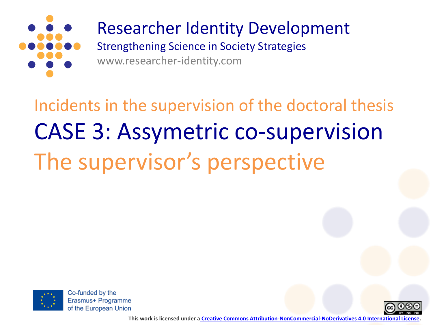

## Researcher Identity Development

Strengthening Science in Society Strategies www.researcher-identity.com

Incidents in the supervision of the doctoral thesis CASE 3: Assymetric co-supervision The supervisor's perspective



Co-funded by the Erasmus+ Programme of the European Union



**This work is licensed under a [Creative Commons Attribution-NonCommercial-NoDerivatives 4.0 International License.](http://creativecommons.org/licenses/by-nc-nd/4.0/)**